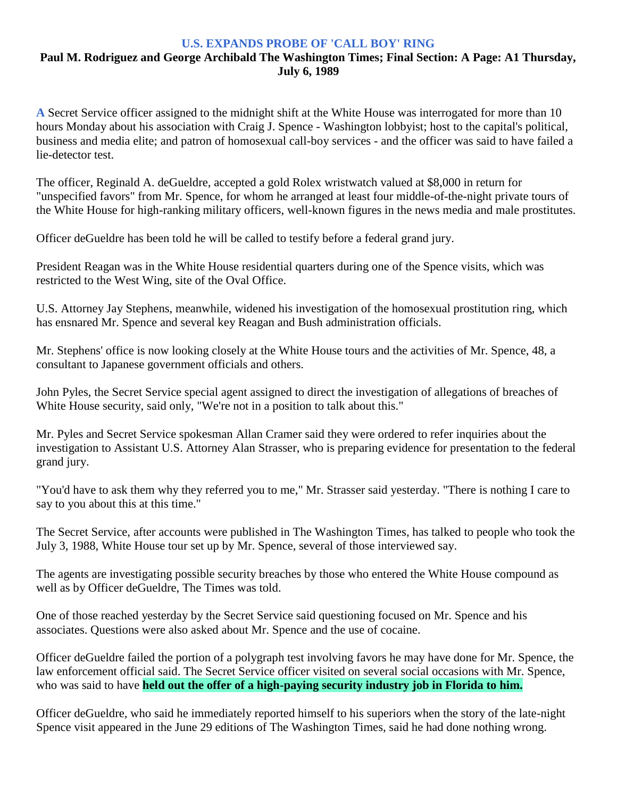## **U.S. EXPANDS PROBE OF 'CALL BOY' RING**

## **Paul M. Rodriguez and George Archibald The Washington Times; Final Section: A Page: A1 Thursday, July 6, 1989**

**A** Secret Service officer assigned to the midnight shift at the White House was interrogated for more than 10 hours Monday about his association with Craig J. Spence - Washington lobbyist; host to the capital's political, business and media elite; and patron of homosexual call-boy services - and the officer was said to have failed a lie-detector test.

The officer, Reginald A. deGueldre, accepted a gold Rolex wristwatch valued at \$8,000 in return for "unspecified favors" from Mr. Spence, for whom he arranged at least four middle-of-the-night private tours of the White House for high-ranking military officers, well-known figures in the news media and male prostitutes.

Officer deGueldre has been told he will be called to testify before a federal grand jury.

President Reagan was in the White House residential quarters during one of the Spence visits, which was restricted to the West Wing, site of the Oval Office.

U.S. Attorney Jay Stephens, meanwhile, widened his investigation of the homosexual prostitution ring, which has ensnared Mr. Spence and several key Reagan and Bush administration officials.

Mr. Stephens' office is now looking closely at the White House tours and the activities of Mr. Spence, 48, a consultant to Japanese government officials and others.

John Pyles, the Secret Service special agent assigned to direct the investigation of allegations of breaches of White House security, said only, "We're not in a position to talk about this."

Mr. Pyles and Secret Service spokesman Allan Cramer said they were ordered to refer inquiries about the investigation to Assistant U.S. Attorney Alan Strasser, who is preparing evidence for presentation to the federal grand jury.

"You'd have to ask them why they referred you to me," Mr. Strasser said yesterday. "There is nothing I care to say to you about this at this time."

The Secret Service, after accounts were published in The Washington Times, has talked to people who took the July 3, 1988, White House tour set up by Mr. Spence, several of those interviewed say.

The agents are investigating possible security breaches by those who entered the White House compound as well as by Officer deGueldre, The Times was told.

One of those reached yesterday by the Secret Service said questioning focused on Mr. Spence and his associates. Questions were also asked about Mr. Spence and the use of cocaine.

Officer deGueldre failed the portion of a polygraph test involving favors he may have done for Mr. Spence, the law enforcement official said. The Secret Service officer visited on several social occasions with Mr. Spence, who was said to have **held out the offer of a high-paying security industry job in Florida to him.**

Officer deGueldre, who said he immediately reported himself to his superiors when the story of the late-night Spence visit appeared in the June 29 editions of The Washington Times, said he had done nothing wrong.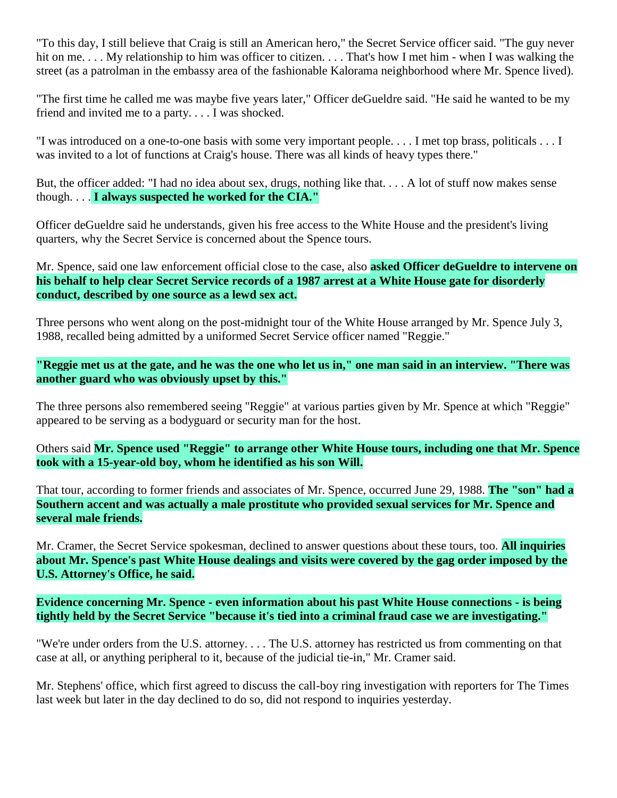"To this day, I still believe that Craig is still an American hero," the Secret Service officer said. "The guy never hit on me. . . . My relationship to him was officer to citizen. . . . That's how I met him - when I was walking the street (as a patrolman in the embassy area of the fashionable Kalorama neighborhood where Mr. Spence lived).

"The first time he called me was maybe five years later," Officer deGueldre said. "He said he wanted to be my friend and invited me to a party. . . . I was shocked.

"I was introduced on a one-to-one basis with some very important people. . . . I met top brass, politicals . . . I was invited to a lot of functions at Craig's house. There was all kinds of heavy types there."

But, the officer added: "I had no idea about sex, drugs, nothing like that. . . . A lot of stuff now makes sense though. . . . **I always suspected he worked for the CIA."**

Officer deGueldre said he understands, given his free access to the White House and the president's living quarters, why the Secret Service is concerned about the Spence tours.

Mr. Spence, said one law enforcement official close to the case, also **asked Officer deGueldre to intervene on his behalf to help clear Secret Service records of a 1987 arrest at a White House gate for disorderly conduct, described by one source as a lewd sex act.**

Three persons who went along on the post-midnight tour of the White House arranged by Mr. Spence July 3, 1988, recalled being admitted by a uniformed Secret Service officer named "Reggie."

**"Reggie met us at the gate, and he was the one who let us in," one man said in an interview. "There was another guard who was obviously upset by this."**

The three persons also remembered seeing "Reggie" at various parties given by Mr. Spence at which "Reggie" appeared to be serving as a bodyguard or security man for the host.

Others said **Mr. Spence used "Reggie" to arrange other White House tours, including one that Mr. Spence took with a 15-year-old boy, whom he identified as his son Will.**

That tour, according to former friends and associates of Mr. Spence, occurred June 29, 1988. **The "son" had a Southern accent and was actually a male prostitute who provided sexual services for Mr. Spence and several male friends.**

Mr. Cramer, the Secret Service spokesman, declined to answer questions about these tours, too. **All inquiries about Mr. Spence's past White House dealings and visits were covered by the gag order imposed by the U.S. Attorney's Office, he said.**

**Evidence concerning Mr. Spence - even information about his past White House connections - is being tightly held by the Secret Service "because it's tied into a criminal fraud case we are investigating."**

"We're under orders from the U.S. attorney. . . . The U.S. attorney has restricted us from commenting on that case at all, or anything peripheral to it, because of the judicial tie-in," Mr. Cramer said.

Mr. Stephens' office, which first agreed to discuss the call-boy ring investigation with reporters for The Times last week but later in the day declined to do so, did not respond to inquiries yesterday.